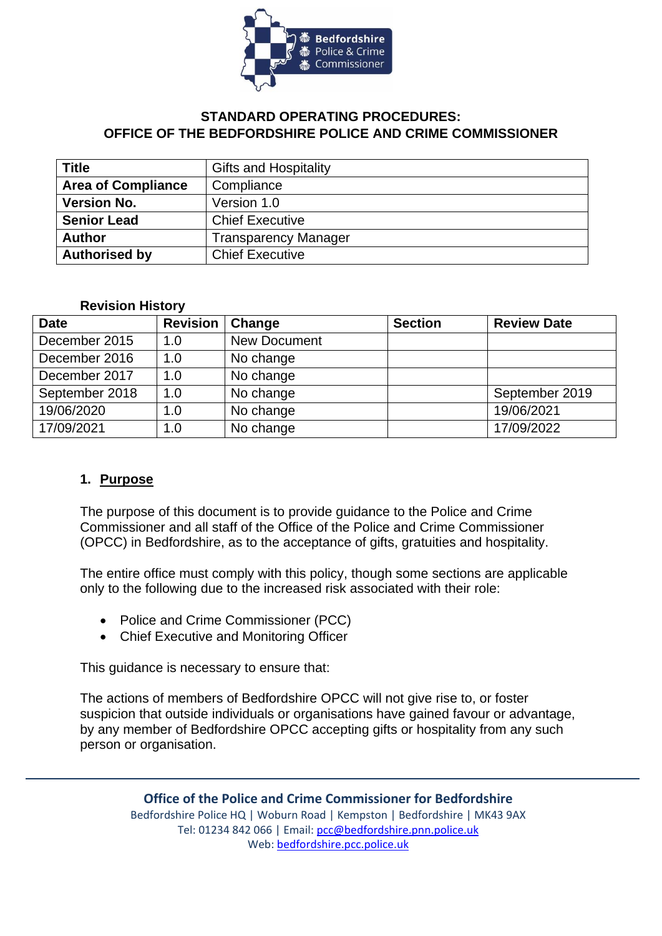

## **STANDARD OPERATING PROCEDURES: OFFICE OF THE BEDFORDSHIRE POLICE AND CRIME COMMISSIONER**

| <b>Title</b>              | <b>Gifts and Hospitality</b> |  |  |
|---------------------------|------------------------------|--|--|
| <b>Area of Compliance</b> | Compliance                   |  |  |
| <b>Version No.</b>        | Version 1.0                  |  |  |
| <b>Senior Lead</b>        | <b>Chief Executive</b>       |  |  |
| <b>Author</b>             | <b>Transparency Manager</b>  |  |  |
| <b>Authorised by</b>      | <b>Chief Executive</b>       |  |  |

#### **Revision History**

| <b>Date</b>    | <b>Revision</b> | Change              | <b>Section</b> | <b>Review Date</b> |
|----------------|-----------------|---------------------|----------------|--------------------|
| December 2015  | 1.0             | <b>New Document</b> |                |                    |
| December 2016  | 1.0             | No change           |                |                    |
| December 2017  | 1.0             | No change           |                |                    |
| September 2018 | 1.0             | No change           |                | September 2019     |
| 19/06/2020     | 1.0             | No change           |                | 19/06/2021         |
| 17/09/2021     | 1.0             | No change           |                | 17/09/2022         |

#### **1. Purpose**

The purpose of this document is to provide guidance to the Police and Crime Commissioner and all staff of the Office of the Police and Crime Commissioner (OPCC) in Bedfordshire, as to the acceptance of gifts, gratuities and hospitality.

The entire office must comply with this policy, though some sections are applicable only to the following due to the increased risk associated with their role:

- Police and Crime Commissioner (PCC)
- Chief Executive and Monitoring Officer

This guidance is necessary to ensure that:

The actions of members of Bedfordshire OPCC will not give rise to, or foster suspicion that outside individuals or organisations have gained favour or advantage, by any member of Bedfordshire OPCC accepting gifts or hospitality from any such person or organisation.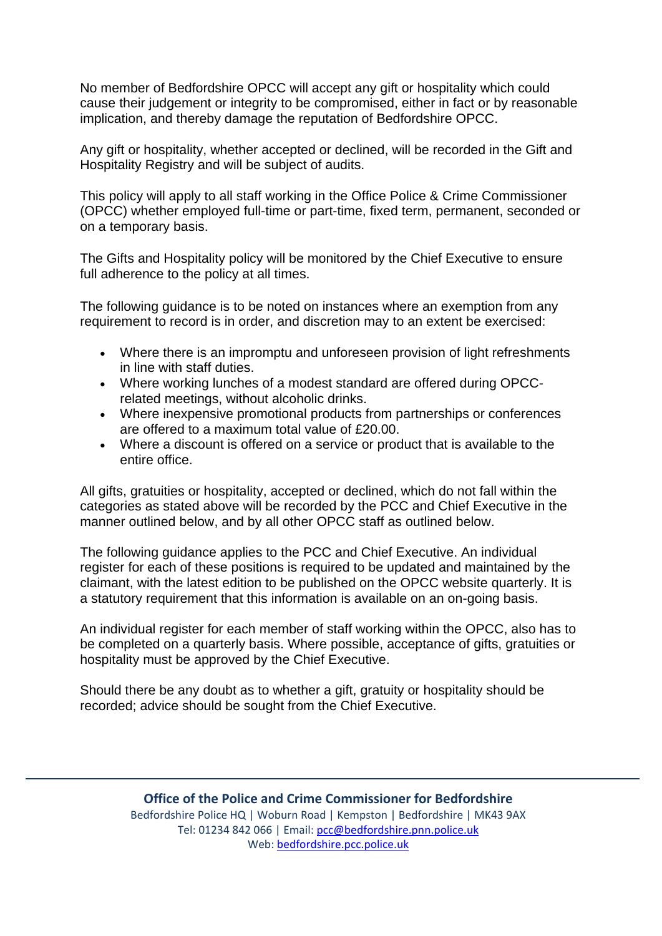No member of Bedfordshire OPCC will accept any gift or hospitality which could cause their judgement or integrity to be compromised, either in fact or by reasonable implication, and thereby damage the reputation of Bedfordshire OPCC.

Any gift or hospitality, whether accepted or declined, will be recorded in the Gift and Hospitality Registry and will be subject of audits.

This policy will apply to all staff working in the Office Police & Crime Commissioner (OPCC) whether employed full-time or part-time, fixed term, permanent, seconded or on a temporary basis.

The Gifts and Hospitality policy will be monitored by the Chief Executive to ensure full adherence to the policy at all times.

The following guidance is to be noted on instances where an exemption from any requirement to record is in order, and discretion may to an extent be exercised:

- Where there is an impromptu and unforeseen provision of light refreshments in line with staff duties.
- Where working lunches of a modest standard are offered during OPCCrelated meetings, without alcoholic drinks.
- Where inexpensive promotional products from partnerships or conferences are offered to a maximum total value of £20.00.
- Where a discount is offered on a service or product that is available to the entire office.

All gifts, gratuities or hospitality, accepted or declined, which do not fall within the categories as stated above will be recorded by the PCC and Chief Executive in the manner outlined below, and by all other OPCC staff as outlined below.

The following guidance applies to the PCC and Chief Executive. An individual register for each of these positions is required to be updated and maintained by the claimant, with the latest edition to be published on the OPCC website quarterly. It is a statutory requirement that this information is available on an on-going basis.

An individual register for each member of staff working within the OPCC, also has to be completed on a quarterly basis. Where possible, acceptance of gifts, gratuities or hospitality must be approved by the Chief Executive.

Should there be any doubt as to whether a gift, gratuity or hospitality should be recorded; advice should be sought from the Chief Executive.